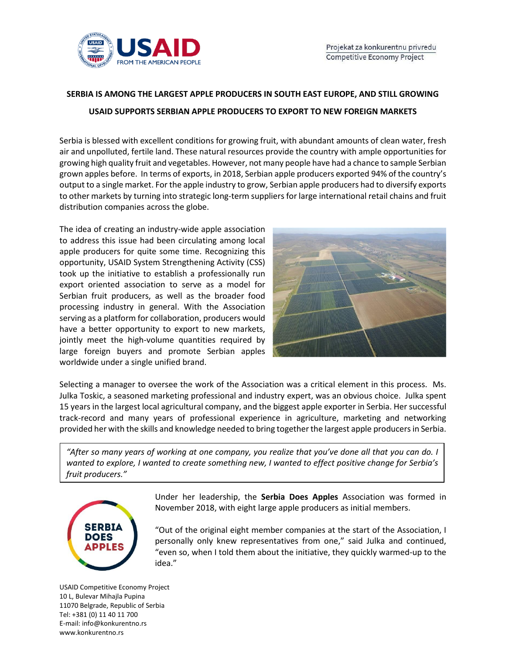

## **SERBIA IS AMONG THE LARGEST APPLE PRODUCERS IN SOUTH EAST EUROPE, AND STILL GROWING USAID SUPPORTS SERBIAN APPLE PRODUCERS TO EXPORT TO NEW FOREIGN MARKETS**

Serbia is blessed with excellent conditions for growing fruit, with abundant amounts of clean water, fresh air and unpolluted, fertile land. These natural resources provide the country with ample opportunities for growing high quality fruit and vegetables. However, not many people have had a chance to sample Serbian grown apples before. In terms of exports, in 2018, Serbian apple producers exported 94% of the country's output to a single market. For the apple industry to grow, Serbian apple producers had to diversify exports to other markets by turning into strategic long-term suppliers for large international retail chains and fruit distribution companies across the globe.

The idea of creating an industry-wide apple association to address this issue had been circulating among local apple producers for quite some time. Recognizing this opportunity, USAID System Strengthening Activity (CSS) took up the initiative to establish a professionally run export oriented association to serve as a model for Serbian fruit producers, as well as the broader food processing industry in general. With the Association serving as a platform for collaboration, producers would have a better opportunity to export to new markets, jointly meet the high-volume quantities required by large foreign buyers and promote Serbian apples worldwide under a single unified brand.



Selecting a manager to oversee the work of the Association was a critical element in this process. Ms. Julka Toskic, a seasoned marketing professional and industry expert, was an obvious choice. Julka spent 15 years in the largest local agricultural company, and the biggest apple exporter in Serbia. Her successful track-record and many years of professional experience in agriculture, marketing and networking provided her with the skills and knowledge needed to bring together the largest apple producers in Serbia.

*"After so many years of working at one company, you realize that you've done all that you can do. I wanted to explore, I wanted to create something new, I wanted to effect positive change for Serbia's fruit producers."* 



Under her leadership, the **Serbia Does Apples** Association was formed in November 2018, with eight large apple producers as initial members.

"Out of the original eight member companies at the start of the Association, I personally only knew representatives from one," said Julka and continued, "even so, when I told them about the initiative, they quickly warmed-up to the idea."

USAID Competitive Economy Project 10 L, Bulevar Mihajla Pupina 11070 Belgrade, Republic of Serbia Tel: +381 (0) 11 40 11 700 E-mail: info@konkurentno.rs www.konkurentno.rs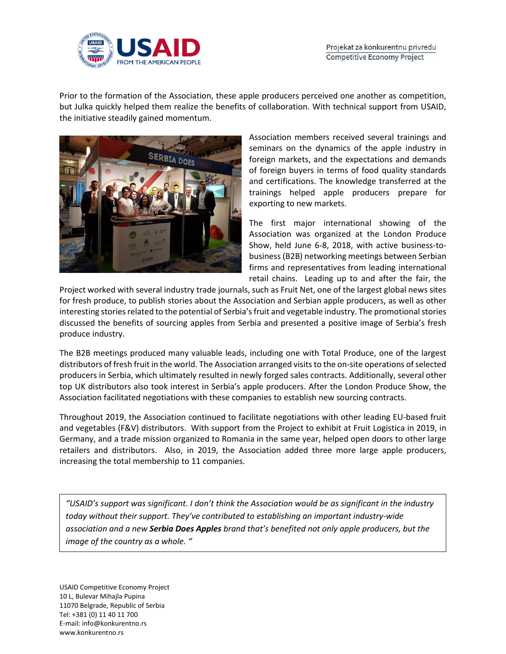

Prior to the formation of the Association, these apple producers perceived one another as competition, but Julka quickly helped them realize the benefits of collaboration. With technical support from USAID, the initiative steadily gained momentum.



Association members received several trainings and seminars on the dynamics of the apple industry in foreign markets, and the expectations and demands of foreign buyers in terms of food quality standards and certifications. The knowledge transferred at the trainings helped apple producers prepare for exporting to new markets.

The first major international showing of the Association was organized at the London Produce Show, held June 6-8, 2018, with active business-tobusiness (B2B) networking meetings between Serbian firms and representatives from leading international retail chains. Leading up to and after the fair, the

Project worked with several industry trade journals, such as Fruit Net, one of the largest global news sites for fresh produce, to publish stories about the Association and Serbian apple producers, as well as other interesting stories related to the potential of Serbia's fruit and vegetable industry. The promotional stories discussed the benefits of sourcing apples from Serbia and presented a positive image of Serbia's fresh produce industry.

The B2B meetings produced many valuable leads, including one with Total Produce, one of the largest distributors of fresh fruit in the world. The Association arranged visits to the on-site operations of selected producers in Serbia, which ultimately resulted in newly forged sales contracts. Additionally, several other top UK distributors also took interest in Serbia's apple producers. After the London Produce Show, the Association facilitated negotiations with these companies to establish new sourcing contracts.

Throughout 2019, the Association continued to facilitate negotiations with other leading EU-based fruit and vegetables (F&V) distributors. With support from the Project to exhibit at Fruit Logistica in 2019, in Germany, and a trade mission organized to Romania in the same year, helped open doors to other large retailers and distributors. Also, in 2019, the Association added three more large apple producers, increasing the total membership to 11 companies.

*"USAID's support was significant. I don't think the Association would be as significant in the industry today without their support. They've contributed to establishing an important industry-wide association and a new Serbia Does Apples brand that's benefited not only apple producers, but the image of the country as a whole. "*

USAID Competitive Economy Project 10 L, Bulevar Mihajla Pupina 11070 Belgrade, Republic of Serbia Tel: +381 (0) 11 40 11 700 E-mail: info@konkurentno.rs www.konkurentno.rs